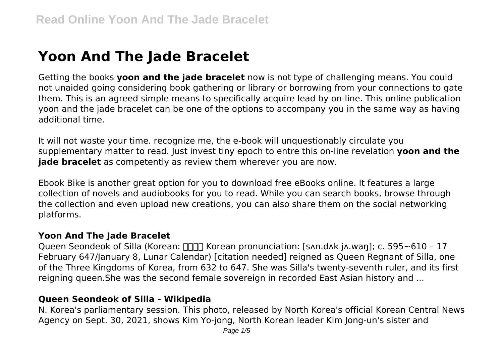# **Yoon And The Jade Bracelet**

Getting the books **yoon and the jade bracelet** now is not type of challenging means. You could not unaided going considering book gathering or library or borrowing from your connections to gate them. This is an agreed simple means to specifically acquire lead by on-line. This online publication yoon and the jade bracelet can be one of the options to accompany you in the same way as having additional time.

It will not waste your time. recognize me, the e-book will unquestionably circulate you supplementary matter to read. Just invest tiny epoch to entre this on-line revelation **yoon and the jade bracelet** as competently as review them wherever you are now.

Ebook Bike is another great option for you to download free eBooks online. It features a large collection of novels and audiobooks for you to read. While you can search books, browse through the collection and even upload new creations, you can also share them on the social networking platforms.

#### **Yoon And The Jade Bracelet**

Queen Seondeok of Silla (Korean:  $\Box \Box \Box$  Korean pronunciation: [sʌn.dʌk jʌ.wan]; c. 595~610 - 17 February 647/January 8, Lunar Calendar) [citation needed] reigned as Queen Regnant of Silla, one of the Three Kingdoms of Korea, from 632 to 647. She was Silla's twenty-seventh ruler, and its first reigning queen.She was the second female sovereign in recorded East Asian history and ...

### **Queen Seondeok of Silla - Wikipedia**

N. Korea's parliamentary session. This photo, released by North Korea's official Korean Central News Agency on Sept. 30, 2021, shows Kim Yo-jong, North Korean leader Kim Jong-un's sister and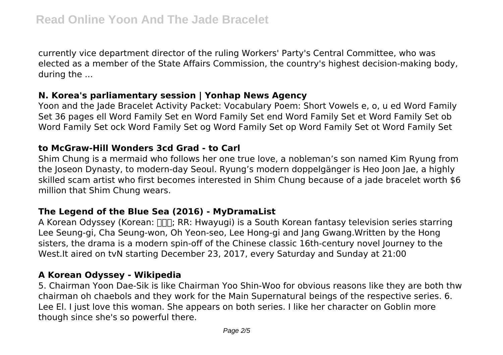currently vice department director of the ruling Workers' Party's Central Committee, who was elected as a member of the State Affairs Commission, the country's highest decision-making body, during the ...

#### **N. Korea's parliamentary session | Yonhap News Agency**

Yoon and the Jade Bracelet Activity Packet: Vocabulary Poem: Short Vowels e, o, u ed Word Family Set 36 pages ell Word Family Set en Word Family Set end Word Family Set et Word Family Set ob Word Family Set ock Word Family Set og Word Family Set op Word Family Set ot Word Family Set

## **to McGraw-Hill Wonders 3cd Grad - to Carl**

Shim Chung is a mermaid who follows her one true love, a nobleman's son named Kim Ryung from the Joseon Dynasty, to modern-day Seoul. Ryung's modern doppelgänger is Heo Joon Jae, a highly skilled scam artist who first becomes interested in Shim Chung because of a jade bracelet worth \$6 million that Shim Chung wears.

# **The Legend of the Blue Sea (2016) - MyDramaList**

A Korean Odyssey (Korean:  $\Box$ ; RR: Hwayugi) is a South Korean fantasy television series starring Lee Seung-gi, Cha Seung-won, Oh Yeon-seo, Lee Hong-gi and Jang Gwang.Written by the Hong sisters, the drama is a modern spin-off of the Chinese classic 16th-century novel Journey to the West.It aired on tvN starting December 23, 2017, every Saturday and Sunday at 21:00

# **A Korean Odyssey - Wikipedia**

5. Chairman Yoon Dae-Sik is like Chairman Yoo Shin-Woo for obvious reasons like they are both thw chairman oh chaebols and they work for the Main Supernatural beings of the respective series. 6. Lee El. I just love this woman. She appears on both series. I like her character on Goblin more though since she's so powerful there.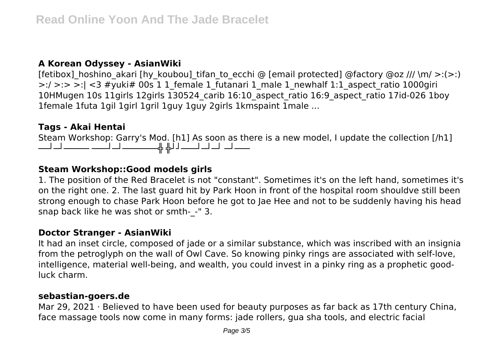## **A Korean Odyssey - AsianWiki**

[fetibox] hoshino akari [hy koubou] tifan to ecchi @ [email protected] @factory @oz ///  $\mathsf{m}/$  >:(>:)  $\geq$ :/  $\geq$ :>  $\geq$ :| <3 #yuki# 00s 1 1 female 1 futanari 1 male 1 newhalf 1:1 aspect ratio 1000giri 10HMugen 10s 11girls 12girls 130524\_carib 16:10\_aspect\_ratio 16:9\_aspect\_ratio 17id-026 1boy 1female 1futa 1gil 1girl 1gril 1guy 1guy 2girls 1kmspaint 1male ...

# **Tags - Akai Hentai**

Steam Workshop: Garry's Mod. [h1] As soon as there is a new model, I update the collection [/h1] ──┘─┘───── ───┘─┘───────╬ ╬┘┘───┘─┘─┘ ─┘───

# **Steam Workshop::Good models girls**

1. The position of the Red Bracelet is not "constant". Sometimes it's on the left hand, sometimes it's on the right one. 2. The last guard hit by Park Hoon in front of the hospital room shouldve still been strong enough to chase Park Hoon before he got to Jae Hee and not to be suddenly having his head snap back like he was shot or smth-\_-" 3.

#### **Doctor Stranger - AsianWiki**

It had an inset circle, composed of jade or a similar substance, which was inscribed with an insignia from the petroglyph on the wall of Owl Cave. So knowing pinky rings are associated with self-love, intelligence, material well-being, and wealth, you could invest in a pinky ring as a prophetic goodluck charm.

#### **sebastian-goers.de**

Mar 29, 2021 · Believed to have been used for beauty purposes as far back as 17th century China, face massage tools now come in many forms: jade rollers, gua sha tools, and electric facial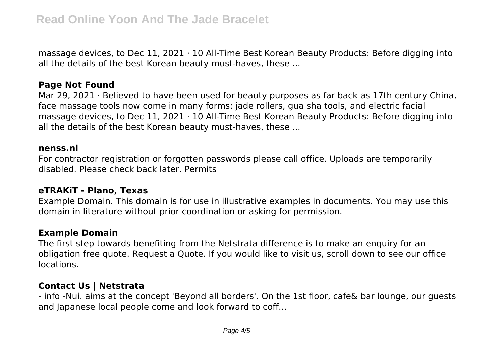massage devices, to Dec  $11$ , 2021  $\cdot$  10 All-Time Best Korean Beauty Products: Before digging into all the details of the best Korean beauty must-haves, these ...

#### **Page Not Found**

Mar 29, 2021 · Believed to have been used for beauty purposes as far back as 17th century China, face massage tools now come in many forms: jade rollers, gua sha tools, and electric facial massage devices, to Dec 11, 2021 · 10 All-Time Best Korean Beauty Products: Before digging into all the details of the best Korean beauty must-haves, these ...

#### **nenss.nl**

For contractor registration or forgotten passwords please call office. Uploads are temporarily disabled. Please check back later. Permits

#### **eTRAKiT - Plano, Texas**

Example Domain. This domain is for use in illustrative examples in documents. You may use this domain in literature without prior coordination or asking for permission.

#### **Example Domain**

The first step towards benefiting from the Netstrata difference is to make an enquiry for an obligation free quote. Request a Quote. If you would like to visit us, scroll down to see our office locations.

#### **Contact Us | Netstrata**

- info -Nui. aims at the concept 'Beyond all borders'. On the 1st floor, cafe& bar lounge, our guests and Japanese local people come and look forward to coff...